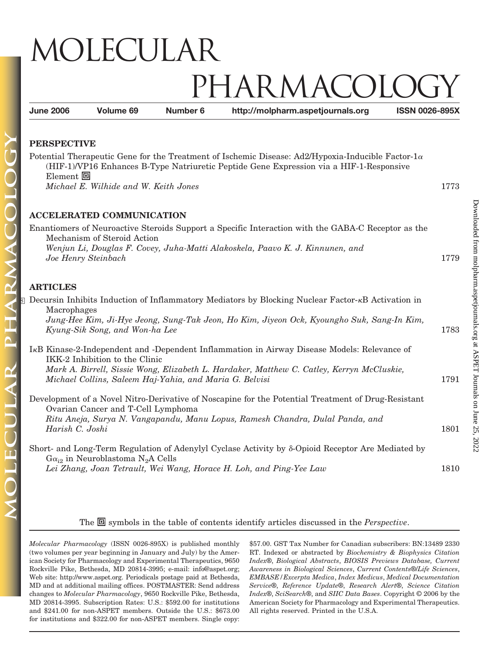# MOLECULAR IARMACC

**June 2006 Volume 69 Number 6 http://molpharm.aspetjournals.org ISSN 0026-895X**

### **PERSPECTIVE**

Potential Therapeutic Gene for the Treatment of Ischemic Disease: Ad2/Hypoxia-Inducible Factor-1 $\alpha$ (HIF-1)/VP16 Enhances B-Type Natriuretic Peptide Gene Expression via a HIF-1-Responsive Element 回 *Michael E. Wilhide and W. Keith Jones* 1773

### **ACCELERATED COMMUNICATION**

Enantiomers of Neuroactive Steroids Support a Specific Interaction with the GABA-C Receptor as the Mechanism of Steroid Action *Wenjun Li, Douglas F. Covey, Juha-Matti Alakoskela, Paavo K. J. Kinnunen, and Joe Henry Steinbach* 1779

## **ARTICLES**

| S Decursin Inhibits Induction of Inflammatory Mediators by Blocking Nuclear Factor- <sub>K</sub> B Activation in |      |
|------------------------------------------------------------------------------------------------------------------|------|
| Macrophages                                                                                                      |      |
| Jung-Hee Kim, Ji-Hye Jeong, Sung-Tak Jeon, Ho Kim, Jiyeon Ock, Kyoungho Suk, Sang-In Kim,                        |      |
| Kyung-Sik Song, and Won-ha Lee                                                                                   | 1783 |
|                                                                                                                  |      |
| I <sub>K</sub> B Kinase-2-Independent and -Dependent Inflammation in Airway Disease Models: Relevance of         |      |
| IKK-2 Inhibition to the Clinic                                                                                   |      |
| Mark A. Birrell, Sissie Wong, Elizabeth L. Hardaker, Matthew C. Catley, Kerryn McCluskie,                        |      |
| Michael Collins, Saleem Haj-Yahia, and Maria G. Belvisi                                                          | 1791 |
|                                                                                                                  |      |
| Development of a Novel Nitro-Derivative of Noscapine for the Potential Treatment of Drug-Resistant               |      |
| Ovarian Cancer and T-Cell Lymphoma                                                                               |      |
| Ritu Aneja, Surya N. Vangapandu, Manu Lopus, Ramesh Chandra, Dulal Panda, and                                    |      |
| Harish C. Joshi                                                                                                  | 1801 |
|                                                                                                                  |      |
| Short- and Long-Term Regulation of Adenylyl Cyclase Activity by $\delta$ -Opioid Receptor Are Mediated by        |      |
| $Ga_{12}$ in Neuroblastoma N <sub>2</sub> A Cells                                                                |      |
| Lei Zhang, Joan Tetrault, Wei Wang, Horace H. Loh, and Ping-Yee Law                                              | 1810 |

#### The  $\Box$  symbols in the table of contents identify articles discussed in the *Perspective*.

*Molecular Pharmacology* (ISSN 0026-895X) is published monthly (two volumes per year beginning in January and July) by the American Society for Pharmacology and Experimental Therapeutics, 9650 Rockville Pike, Bethesda, MD 20814-3995; e-mail: info@aspet.org; Web site: http://www.aspet.org. Periodicals postage paid at Bethesda, MD and at additional mailing offices. POSTMASTER: Send address changes to *Molecular Pharmacology*, 9650 Rockville Pike, Bethesda, MD 20814-3995. Subscription Rates: U.S.: \$592.00 for institutions and \$241.00 for non-ASPET members. Outside the U.S.: \$673.00 for institutions and \$322.00 for non-ASPET members. Single copy: \$57.00. GST Tax Number for Canadian subscribers: BN:13489 2330 RT. Indexed or abstracted by *Biochemistry & Biophysics Citation Index*®, *Biological Abstracts*, *BIOSIS Previews Database, Current Awareness in Biological Sciences*, *Current Contents*®/*Life Sciences*, *EMBASE/Excerpta Medica*, *Index Medicus*, *Medical Documentation Service*®, *Reference Update*®, *Research Alert*®, *Science Citation Index*®, *SciSearch*®, and *SIIC Data Bases*. Copyright © 2006 by the American Society for Pharmacology and Experimental Therapeutics. All rights reserved. Printed in the U.S.A.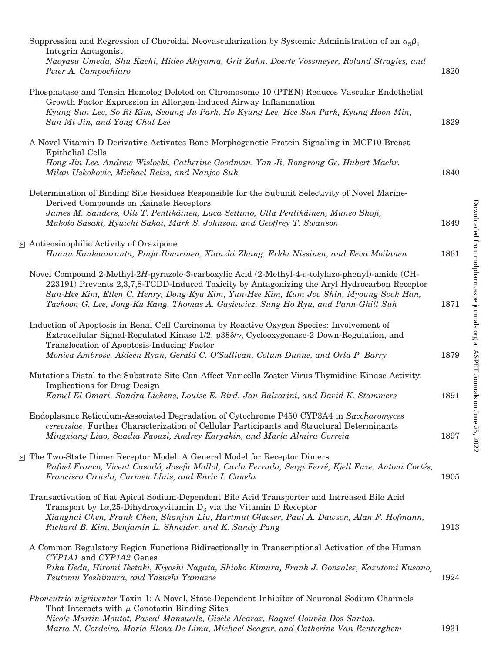| Suppression and Regression of Choroidal Neovascularization by Systemic Administration of an $\alpha_5\beta_1$<br>Integrin Antagonist                                                                                                                                                                                                                                            |      |
|---------------------------------------------------------------------------------------------------------------------------------------------------------------------------------------------------------------------------------------------------------------------------------------------------------------------------------------------------------------------------------|------|
| Naoyasu Umeda, Shu Kachi, Hideo Akiyama, Grit Zahn, Doerte Vossmeyer, Roland Stragies, and<br>Peter A. Campochiaro                                                                                                                                                                                                                                                              | 1820 |
| Phosphatase and Tensin Homolog Deleted on Chromosome 10 (PTEN) Reduces Vascular Endothelial<br>Growth Factor Expression in Allergen-Induced Airway Inflammation                                                                                                                                                                                                                 |      |
| Kyung Sun Lee, So Ri Kim, Seoung Ju Park, Ho Kyung Lee, Hee Sun Park, Kyung Hoon Min,<br>Sun Mi Jin, and Yong Chul Lee                                                                                                                                                                                                                                                          | 1829 |
| A Novel Vitamin D Derivative Activates Bone Morphogenetic Protein Signaling in MCF10 Breast<br>Epithelial Cells                                                                                                                                                                                                                                                                 |      |
| Hong Jin Lee, Andrew Wislocki, Catherine Goodman, Yan Ji, Rongrong Ge, Hubert Maehr,<br>Milan Uskokovic, Michael Reiss, and Nanjoo Suh                                                                                                                                                                                                                                          | 1840 |
| Determination of Binding Site Residues Responsible for the Subunit Selectivity of Novel Marine-<br>Derived Compounds on Kainate Receptors                                                                                                                                                                                                                                       |      |
| James M. Sanders, Olli T. Pentikäinen, Luca Settimo, Ulla Pentikäinen, Muneo Shoji,<br>Makoto Sasaki, Ryuichi Sakai, Mark S. Johnson, and Geoffrey T. Swanson                                                                                                                                                                                                                   | 1849 |
| S Antieosinophilic Activity of Orazipone<br>Hannu Kankaanranta, Pinja Ilmarinen, Xianzhi Zhang, Erkki Nissinen, and Eeva Moilanen                                                                                                                                                                                                                                               | 1861 |
| Novel Compound 2-Methyl-2H-pyrazole-3-carboxylic Acid (2-Methyl-4-o-tolylazo-phenyl)-amide (CH-<br>223191) Prevents 2,3,7,8-TCDD-Induced Toxicity by Antagonizing the Aryl Hydrocarbon Receptor<br>Sun-Hee Kim, Ellen C. Henry, Dong-Kyu Kim, Yun-Hee Kim, Kum Joo Shin, Myoung Sook Han,<br>Taehoon G. Lee, Jong-Ku Kang, Thomas A. Gasiewicz, Sung Ho Ryu, and Pann-Ghill Suh | 1871 |
| Induction of Apoptosis in Renal Cell Carcinoma by Reactive Oxygen Species: Involvement of<br>Extracellular Signal-Regulated Kinase $1/2$ , $p38\delta/\gamma$ , Cyclooxygenase-2 Down-Regulation, and<br>Translocation of Apoptosis-Inducing Factor<br>Monica Ambrose, Aideen Ryan, Gerald C. O'Sullivan, Colum Dunne, and Orla P. Barry                                        | 1879 |
| Mutations Distal to the Substrate Site Can Affect Varicella Zoster Virus Thymidine Kinase Activity:                                                                                                                                                                                                                                                                             |      |
| Implications for Drug Design<br>Kamel El Omari, Sandra Liekens, Louise E. Bird, Jan Balzarini, and David K. Stammers                                                                                                                                                                                                                                                            | 1891 |
| Endoplasmic Reticulum-Associated Degradation of Cytochrome P450 CYP3A4 in Saccharomyces<br>cerevisiae: Further Characterization of Cellular Participants and Structural Determinants<br>Mingxiang Liao, Saadia Faouzi, Andrey Karyakin, and Maria Almira Correia                                                                                                                | 1897 |
| S The Two-State Dimer Receptor Model: A General Model for Receptor Dimers<br>Rafael Franco, Vicent Casadó, Josefa Mallol, Carla Ferrada, Sergi Ferré, Kjell Fuxe, Antoni Cortés,<br>Francisco Ciruela, Carmen Lluis, and Enric I. Canela                                                                                                                                        | 1905 |
| Transactivation of Rat Apical Sodium-Dependent Bile Acid Transporter and Increased Bile Acid<br>Transport by $1\alpha,25$ -Dihydroxyvitamin D <sub>3</sub> via the Vitamin D Receptor<br>Xianghai Chen, Frank Chen, Shanjun Liu, Hartmut Glaeser, Paul A. Dawson, Alan F. Hofmann,<br>Richard B. Kim, Benjamin L. Shneider, and K. Sandy Pang                                   | 1913 |
| A Common Regulatory Region Functions Bidirectionally in Transcriptional Activation of the Human                                                                                                                                                                                                                                                                                 |      |
| CYP1A1 and CYP1A2 Genes<br>Rika Ueda, Hiromi Iketaki, Kiyoshi Nagata, Shioko Kimura, Frank J. Gonzalez, Kazutomi Kusano,<br>Tsutomu Yoshimura, and Yasushi Yamazoe                                                                                                                                                                                                              | 1924 |
| <i>Phoneutria nigriventer</i> Toxin 1: A Novel, State-Dependent Inhibitor of Neuronal Sodium Channels<br>That Interacts with $\mu$ Conotoxin Binding Sites                                                                                                                                                                                                                      |      |
| Nicole Martin-Moutot, Pascal Mansuelle, Gisèle Alcaraz, Raquel Gouvêa Dos Santos,<br>Marta N. Cordeiro, Maria Elena De Lima, Michael Seagar, and Catherine Van Renterghem                                                                                                                                                                                                       | 1931 |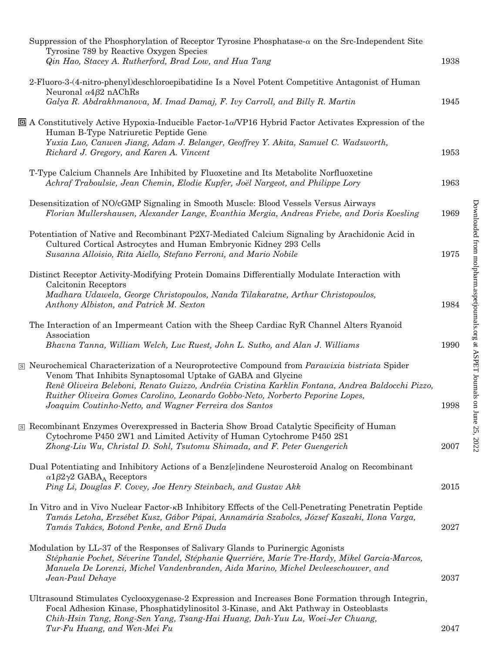| Suppression of the Phosphorylation of Receptor Tyrosine Phosphatase- $\alpha$ on the Src-Independent Site<br>Tyrosine 789 by Reactive Oxygen Species                                                                                                                                     |      |
|------------------------------------------------------------------------------------------------------------------------------------------------------------------------------------------------------------------------------------------------------------------------------------------|------|
| Qin Hao, Stacey A. Rutherford, Brad Low, and Hua Tang                                                                                                                                                                                                                                    | 1938 |
| 2-Fluoro-3-(4-nitro-phenyl)deschloroepibatidine Is a Novel Potent Competitive Antagonist of Human<br>Neuronal $\alpha$ 4 $\beta$ 2 nAChRs                                                                                                                                                |      |
| Galya R. Abdrakhmanova, M. Imad Damaj, F. Ivy Carroll, and Billy R. Martin                                                                                                                                                                                                               | 1945 |
| $\Box$ A Constitutively Active Hypoxia-Inducible Factor-1α/VP16 Hybrid Factor Activates Expression of the<br>Human B-Type Natriuretic Peptide Gene<br>Yuxia Luo, Canwen Jiang, Adam J. Belanger, Geoffrey Y. Akita, Samuel C. Wadsworth,                                                 |      |
| Richard J. Gregory, and Karen A. Vincent                                                                                                                                                                                                                                                 | 1953 |
| T-Type Calcium Channels Are Inhibited by Fluoxetine and Its Metabolite Norfluoxetine<br>Achraf Traboulsie, Jean Chemin, Elodie Kupfer, Joël Nargeot, and Philippe Lory                                                                                                                   | 1963 |
| Desensitization of NO/cGMP Signaling in Smooth Muscle: Blood Vessels Versus Airways<br>Florian Mullershausen, Alexander Lange, Evanthia Mergia, Andreas Friebe, and Doris Koesling                                                                                                       | 1969 |
| Potentiation of Native and Recombinant P2X7-Mediated Calcium Signaling by Arachidonic Acid in<br>Cultured Cortical Astrocytes and Human Embryonic Kidney 293 Cells<br>Susanna Alloisio, Rita Aiello, Stefano Ferroni, and Mario Nobile                                                   | 1975 |
| Distinct Receptor Activity-Modifying Protein Domains Differentially Modulate Interaction with                                                                                                                                                                                            |      |
| Calcitonin Receptors<br>Madhara Udawela, George Christopoulos, Nanda Tilakaratne, Arthur Christopoulos,<br>Anthony Albiston, and Patrick M. Sexton                                                                                                                                       | 1984 |
| The Interaction of an Impermeant Cation with the Sheep Cardiac RyR Channel Alters Ryanoid<br>Association                                                                                                                                                                                 | 1990 |
| Bhavna Tanna, William Welch, Luc Ruest, John L. Sutko, and Alan J. Williams                                                                                                                                                                                                              |      |
| <b>S</b> Neurochemical Characterization of a Neuroprotective Compound from <i>Parawixia bistriata</i> Spider<br>Venom That Inhibits Synaptosomal Uptake of GABA and Glycine<br>Renê Oliveira Beleboni, Renato Guizzo, Andréia Cristina Karklin Fontana, Andrea Baldocchi Pizzo,          |      |
| Ruither Oliveira Gomes Carolino, Leonardo Gobbo-Neto, Norberto Peporine Lopes,<br>Joaquim Coutinho-Netto, and Wagner Ferreira dos Santos                                                                                                                                                 | 1998 |
| S Recombinant Enzymes Overexpressed in Bacteria Show Broad Catalytic Specificity of Human<br>Cytochrome P450 2W1 and Limited Activity of Human Cytochrome P450 2S1                                                                                                                       |      |
| Zhong-Liu Wu, Christal D. Sohl, Tsutomu Shimada, and F. Peter Guengerich                                                                                                                                                                                                                 | 2007 |
| Dual Potentiating and Inhibitory Actions of a Benz[e]indene Neurosteroid Analog on Recombinant<br>$\alpha$ 1 $\beta$ 2 $\gamma$ 2 GABA <sub>A</sub> Receptors                                                                                                                            |      |
| Ping Li, Douglas F. Covey, Joe Henry Steinbach, and Gustav Akk                                                                                                                                                                                                                           | 2015 |
| In Vitro and in Vivo Nuclear Factor- $\kappa B$ Inhibitory Effects of the Cell-Penetrating Penetratin Peptide<br>Tamás Letoha, Erzsébet Kusz, Gábor Pápai, Annamária Szabolcs, József Kaszaki, Ilona Varga,<br>Tamás Takács, Botond Penke, and Ernő Duda                                 | 2027 |
| Modulation by LL-37 of the Responses of Salivary Glands to Purinergic Agonists<br>Stéphanie Pochet, Séverine Tandel, Stéphanie Querriére, Marie Tre-Hardy, Mikel Garcia-Marcos,<br>Manuela De Lorenzi, Michel Vandenbranden, Aida Marino, Michel Devleeschouwer, and<br>Jean-Paul Dehaye | 2037 |
| Ultrasound Stimulates Cyclooxygenase-2 Expression and Increases Bone Formation through Integrin,<br>Focal Adhesion Kinase, Phosphatidylinositol 3-Kinase, and Akt Pathway in Osteoblasts<br>Chih-Hsin Tang, Rong-Sen Yang, Tsang-Hai Huang, Dah-Yuu Lu, Woei-Jer Chuang,                 |      |
| Tur-Fu Huang, and Wen-Mei Fu                                                                                                                                                                                                                                                             | 2047 |